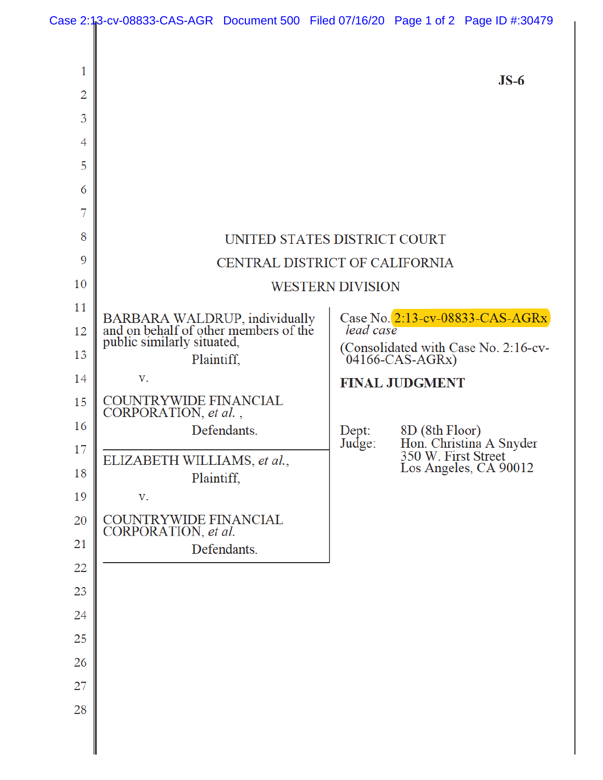| Case 2:13-cv-08833-CAS-AGR Document 500 Filed 07/16/20 Page 1 of 2 Page ID #:30479 |  |  |
|------------------------------------------------------------------------------------|--|--|
|                                                                                    |  |  |

| 1              |                                                                                                      |                                                                                      | $JS-6$                                                                                     |  |  |
|----------------|------------------------------------------------------------------------------------------------------|--------------------------------------------------------------------------------------|--------------------------------------------------------------------------------------------|--|--|
| $\overline{2}$ |                                                                                                      |                                                                                      |                                                                                            |  |  |
| 3              |                                                                                                      |                                                                                      |                                                                                            |  |  |
| 4              |                                                                                                      |                                                                                      |                                                                                            |  |  |
| 5              |                                                                                                      |                                                                                      |                                                                                            |  |  |
| 6              |                                                                                                      |                                                                                      |                                                                                            |  |  |
| 7              |                                                                                                      |                                                                                      |                                                                                            |  |  |
| 8              | UNITED STATES DISTRICT COURT                                                                         |                                                                                      |                                                                                            |  |  |
| 9              | CENTRAL DISTRICT OF CALIFORNIA                                                                       |                                                                                      |                                                                                            |  |  |
| 10             | <b>WESTERN DIVISION</b>                                                                              |                                                                                      |                                                                                            |  |  |
| 11             | BARBARA WALDRUP, individually<br>and on behalf of other members of the<br>public similarly situated, | Case No. 2:13-cv-08833-CAS-AGRx<br>lead case<br>(Consolidated with Case No. 2:16-cv- |                                                                                            |  |  |
| 12<br>13       |                                                                                                      |                                                                                      |                                                                                            |  |  |
| 14             | Plaintiff,<br>V.                                                                                     |                                                                                      | $04166$ -CAS-AGRx)                                                                         |  |  |
| 15             | <b>COUNTRYWIDE FINANCIAL</b>                                                                         |                                                                                      | <b>FINAL JUDGMENT</b>                                                                      |  |  |
| 16             | CORPORATION, et al.,                                                                                 |                                                                                      |                                                                                            |  |  |
| 17             | Defendants.                                                                                          | Dept:<br>Judge:                                                                      | $8D(8th$ Floor)<br>Hon. Christina A Snyder<br>350 W. First Street<br>Los Angeles, CA 90012 |  |  |
| 18             | ELIZABETH WILLIAMS, et al.,<br>Plaintiff,                                                            |                                                                                      |                                                                                            |  |  |
| 19             | V.                                                                                                   |                                                                                      |                                                                                            |  |  |
| 20             | COUNTRYWIDE FINANCIAL<br>CORPORATION, et al.                                                         |                                                                                      |                                                                                            |  |  |
| 21             | Defendants.                                                                                          |                                                                                      |                                                                                            |  |  |
| 22             |                                                                                                      |                                                                                      |                                                                                            |  |  |
| 23             |                                                                                                      |                                                                                      |                                                                                            |  |  |
| 24             |                                                                                                      |                                                                                      |                                                                                            |  |  |
| 25             |                                                                                                      |                                                                                      |                                                                                            |  |  |
| 26             |                                                                                                      |                                                                                      |                                                                                            |  |  |
| 27             |                                                                                                      |                                                                                      |                                                                                            |  |  |
| 28             |                                                                                                      |                                                                                      |                                                                                            |  |  |
|                |                                                                                                      |                                                                                      |                                                                                            |  |  |
|                |                                                                                                      |                                                                                      |                                                                                            |  |  |